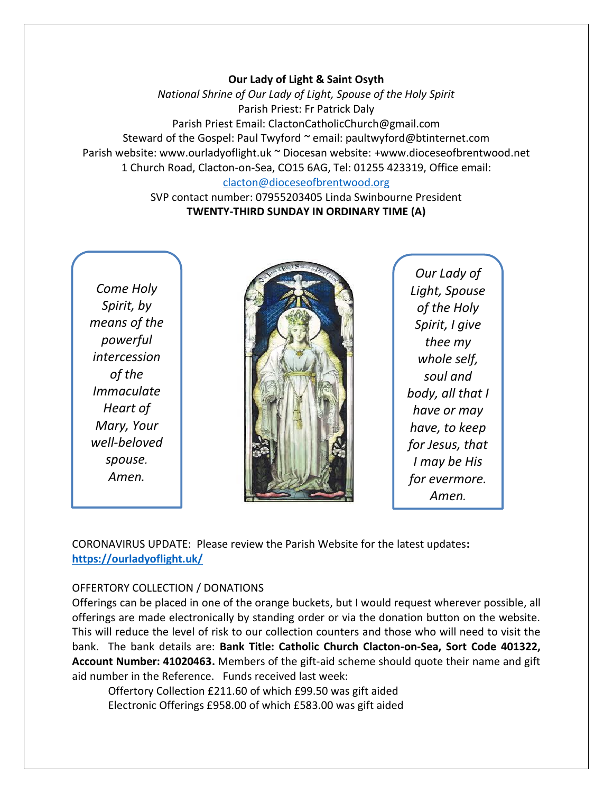### **Our Lady of Light & Saint Osyth**

*National Shrine of Our Lady of Light, Spouse of the Holy Spirit* Parish Priest: Fr Patrick Daly Parish Priest Email: ClactonCatholicChurch@gmail.com Steward of the Gospel: Paul Twyford ~ email: paultwyford@btinternet.com Parish website: www.ourladyoflight.uk ~ Diocesan website: +www.dioceseofbrentwood.net 1 Church Road, Clacton-on-Sea, CO15 6AG, Tel: 01255 423319, Office email: [clacton@dioceseofbrentwood.org](mailto:clacton@dioceseofbrentwood.org)

> SVP contact number: 07955203405 Linda Swinbourne President **TWENTY-THIRD SUNDAY IN ORDINARY TIME (A)**

*Come Holy Spirit, by means of the powerful intercession of the Immaculate Heart of Mary, Your well-beloved spouse. Amen.*



*Our Lady of Light, Spouse of the Holy Spirit, I give thee my whole self, soul and body, all that I have or may have, to keep for Jesus, that I may be His for evermore. Amen.*

CORONAVIRUS UPDATE: Please review the Parish Website for the latest updates**: <https://ourladyoflight.uk/>**

## OFFERTORY COLLECTION / DONATIONS

Offerings can be placed in one of the orange buckets, but I would request wherever possible, all offerings are made electronically by standing order or via the donation button on the website. This will reduce the level of risk to our collection counters and those who will need to visit the bank. The bank details are: **Bank Title: Catholic Church Clacton-on-Sea, Sort Code 401322, Account Number: 41020463.** Members of the gift-aid scheme should quote their name and gift aid number in the Reference. Funds received last week:

Offertory Collection £211.60 of which £99.50 was gift aided Electronic Offerings £958.00 of which £583.00 was gift aided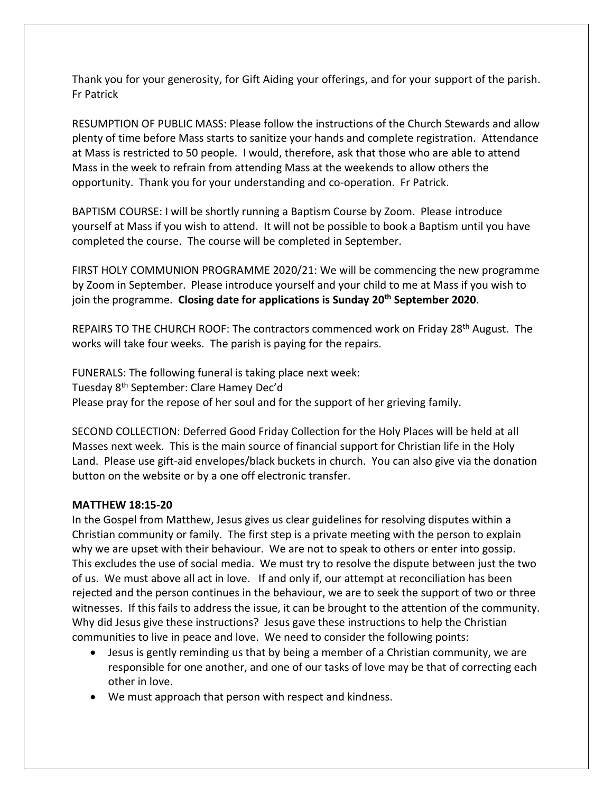Thank you for your generosity, for Gift Aiding your offerings, and for your support of the parish. Fr Patrick

RESUMPTION OF PUBLIC MASS: Please follow the instructions of the Church Stewards and allow plenty of time before Mass starts to sanitize your hands and complete registration. Attendance at Mass is restricted to 50 people. I would, therefore, ask that those who are able to attend Mass in the week to refrain from attending Mass at the weekends to allow others the opportunity. Thank you for your understanding and co-operation. Fr Patrick.

BAPTISM COURSE: I will be shortly running a Baptism Course by Zoom. Please introduce yourself at Mass if you wish to attend. It will not be possible to book a Baptism until you have completed the course. The course will be completed in September.

FIRST HOLY COMMUNION PROGRAMME 2020/21: We will be commencing the new programme by Zoom in September. Please introduce yourself and your child to me at Mass if you wish to join the programme. **Closing date for applications is Sunday 20th September 2020**.

REPAIRS TO THE CHURCH ROOF: The contractors commenced work on Friday 28<sup>th</sup> August. The works will take four weeks. The parish is paying for the repairs.

FUNERALS: The following funeral is taking place next week: Tuesday 8th September: Clare Hamey Dec'd Please pray for the repose of her soul and for the support of her grieving family.

SECOND COLLECTION: Deferred Good Friday Collection for the Holy Places will be held at all Masses next week. This is the main source of financial support for Christian life in the Holy Land. Please use gift-aid envelopes/black buckets in church. You can also give via the donation button on the website or by a one off electronic transfer.

### **MATTHEW 18:15-20**

In the Gospel from Matthew, Jesus gives us clear guidelines for resolving disputes within a Christian community or family. The first step is a private meeting with the person to explain why we are upset with their behaviour. We are not to speak to others or enter into gossip. This excludes the use of social media. We must try to resolve the dispute between just the two of us. We must above all act in love. If and only if, our attempt at reconciliation has been rejected and the person continues in the behaviour, we are to seek the support of two or three witnesses. If this fails to address the issue, it can be brought to the attention of the community. Why did Jesus give these instructions? Jesus gave these instructions to help the Christian communities to live in peace and love. We need to consider the following points:

- Jesus is gently reminding us that by being a member of a Christian community, we are responsible for one another, and one of our tasks of love may be that of correcting each other in love.
- We must approach that person with respect and kindness.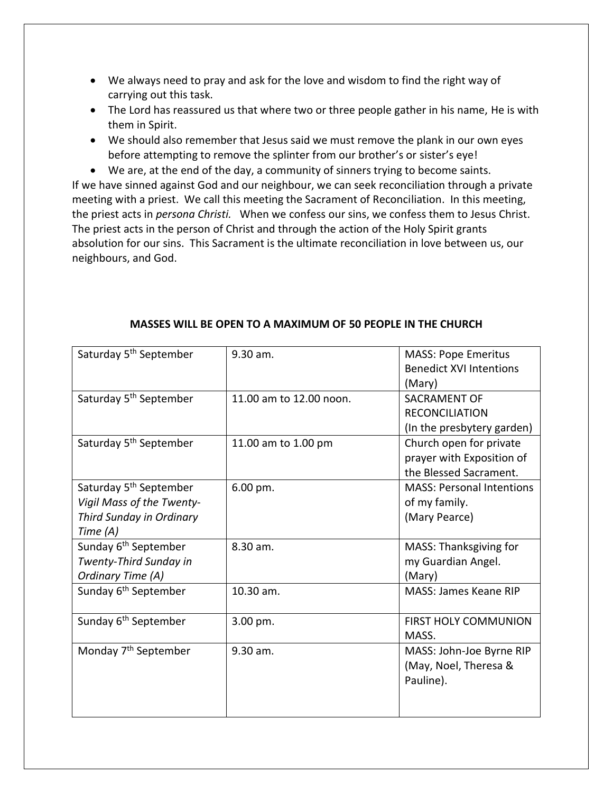- We always need to pray and ask for the love and wisdom to find the right way of carrying out this task.
- The Lord has reassured us that where two or three people gather in his name, He is with them in Spirit.
- We should also remember that Jesus said we must remove the plank in our own eyes before attempting to remove the splinter from our brother's or sister's eye!
- We are, at the end of the day, a community of sinners trying to become saints.

If we have sinned against God and our neighbour, we can seek reconciliation through a private meeting with a priest. We call this meeting the Sacrament of Reconciliation. In this meeting, the priest acts in *persona Christi.* When we confess our sins, we confess them to Jesus Christ. The priest acts in the person of Christ and through the action of the Holy Spirit grants absolution for our sins. This Sacrament is the ultimate reconciliation in love between us, our neighbours, and God.

| Saturday 5 <sup>th</sup> September                                                                      | 9.30 am.                | <b>MASS: Pope Emeritus</b><br><b>Benedict XVI Intentions</b><br>(Mary)         |
|---------------------------------------------------------------------------------------------------------|-------------------------|--------------------------------------------------------------------------------|
| Saturday 5 <sup>th</sup> September                                                                      | 11.00 am to 12.00 noon. | <b>SACRAMENT OF</b><br><b>RECONCILIATION</b><br>(In the presbytery garden)     |
| Saturday 5 <sup>th</sup> September                                                                      | 11.00 am to 1.00 pm     | Church open for private<br>prayer with Exposition of<br>the Blessed Sacrament. |
| Saturday 5 <sup>th</sup> September<br>Vigil Mass of the Twenty-<br>Third Sunday in Ordinary<br>Time (A) | 6.00 pm.                | <b>MASS: Personal Intentions</b><br>of my family.<br>(Mary Pearce)             |
| Sunday 6 <sup>th</sup> September<br>Twenty-Third Sunday in<br>Ordinary Time (A)                         | 8.30 am.                | MASS: Thanksgiving for<br>my Guardian Angel.<br>(Mary)                         |
| Sunday 6 <sup>th</sup> September                                                                        | 10.30 am.               | MASS: James Keane RIP                                                          |
| Sunday 6 <sup>th</sup> September                                                                        | 3.00 pm.                | <b>FIRST HOLY COMMUNION</b><br>MASS.                                           |
| Monday 7 <sup>th</sup> September                                                                        | 9.30 am.                | MASS: John-Joe Byrne RIP<br>(May, Noel, Theresa &<br>Pauline).                 |

## **MASSES WILL BE OPEN TO A MAXIMUM OF 50 PEOPLE IN THE CHURCH**